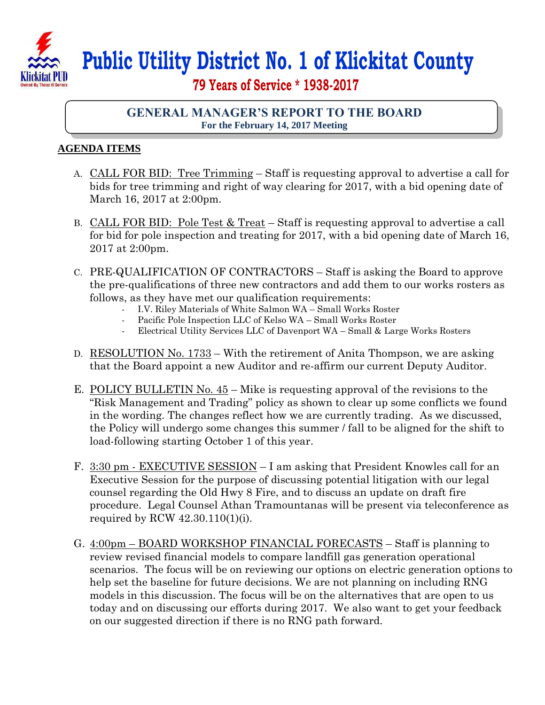

## **Public Utility District No. 1 of Klickitat County**

 **79 Years of Service \* 1938-2017**

## **GENERAL MANAGER'S REPORT TO THE BOARD For the February 14, 2017 Meeting**

## **AGENDA ITEMS**

- A. CALL FOR BID: Tree Trimming Staff is requesting approval to advertise a call for bids for tree trimming and right of way clearing for 2017, with a bid opening date of March 16, 2017 at 2:00pm.
- B. CALL FOR BID: Pole Test & Treat Staff is requesting approval to advertise a call for bid for pole inspection and treating for 2017, with a bid opening date of March 16, 2017 at 2:00pm.
- C. PRE-QUALIFICATION OF CONTRACTORS Staff is asking the Board to approve the pre-qualifications of three new contractors and add them to our works rosters as follows, as they have met our qualification requirements:
	- I.V. Riley Materials of White Salmon WA Small Works Roster
	- Pacific Pole Inspection LLC of Kelso WA Small Works Roster
	- Electrical Utility Services LLC of Davenport WA Small & Large Works Rosters
- D. RESOLUTION No. 1733 With the retirement of Anita Thompson, we are asking that the Board appoint a new Auditor and re-affirm our current Deputy Auditor.
- E. POLICY BULLETIN No. 45 Mike is requesting approval of the revisions to the "Risk Management and Trading" policy as shown to clear up some conflicts we found in the wording. The changes reflect how we are currently trading. As we discussed, the Policy will undergo some changes this summer / fall to be aligned for the shift to load-following starting October 1 of this year.
- F. 3:30 pm EXECUTIVE SESSION I am asking that President Knowles call for an Executive Session for the purpose of discussing potential litigation with our legal counsel regarding the Old Hwy 8 Fire, and to discuss an update on draft fire procedure. Legal Counsel Athan Tramountanas will be present via teleconference as required by RCW 42.30.110(1)(i).
- G. 4:00pm BOARD WORKSHOP FINANCIAL FORECASTS Staff is planning to review revised financial models to compare landfill gas generation operational scenarios. The focus will be on reviewing our options on electric generation options to help set the baseline for future decisions. We are not planning on including RNG models in this discussion. The focus will be on the alternatives that are open to us today and on discussing our efforts during 2017. We also want to get your feedback on our suggested direction if there is no RNG path forward.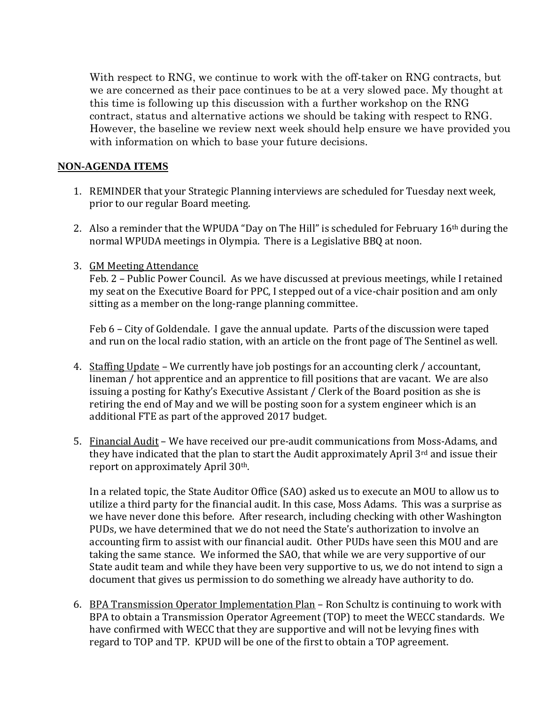With respect to RNG, we continue to work with the off-taker on RNG contracts, but we are concerned as their pace continues to be at a very slowed pace. My thought at this time is following up this discussion with a further workshop on the RNG contract, status and alternative actions we should be taking with respect to RNG. However, the baseline we review next week should help ensure we have provided you with information on which to base your future decisions.

## **NON-AGENDA ITEMS**

- 1. REMINDER that your Strategic Planning interviews are scheduled for Tuesday next week, prior to our regular Board meeting.
- 2. Also a reminder that the WPUDA "Day on The Hill" is scheduled for February 16<sup>th</sup> during the normal WPUDA meetings in Olympia. There is a Legislative BBQ at noon.
- 3. GM Meeting Attendance

Feb. 2 – Public Power Council. As we have discussed at previous meetings, while I retained my seat on the Executive Board for PPC, I stepped out of a vice-chair position and am only sitting as a member on the long-range planning committee.

Feb 6 – City of Goldendale. I gave the annual update. Parts of the discussion were taped and run on the local radio station, with an article on the front page of The Sentinel as well.

- 4. Staffing Update We currently have job postings for an accounting clerk / accountant, lineman / hot apprentice and an apprentice to fill positions that are vacant. We are also issuing a posting for Kathy's Executive Assistant / Clerk of the Board position as she is retiring the end of May and we will be posting soon for a system engineer which is an additional FTE as part of the approved 2017 budget.
- 5. Financial Audit We have received our pre-audit communications from Moss-Adams, and they have indicated that the plan to start the Audit approximately April 3rd and issue their report on approximately April 30th.

In a related topic, the State Auditor Office (SAO) asked us to execute an MOU to allow us to utilize a third party for the financial audit. In this case, Moss Adams. This was a surprise as we have never done this before. After research, including checking with other Washington PUDs, we have determined that we do not need the State's authorization to involve an accounting firm to assist with our financial audit. Other PUDs have seen this MOU and are taking the same stance. We informed the SAO, that while we are very supportive of our State audit team and while they have been very supportive to us, we do not intend to sign a document that gives us permission to do something we already have authority to do.

6. BPA Transmission Operator Implementation Plan – Ron Schultz is continuing to work with BPA to obtain a Transmission Operator Agreement (TOP) to meet the WECC standards. We have confirmed with WECC that they are supportive and will not be levying fines with regard to TOP and TP. KPUD will be one of the first to obtain a TOP agreement.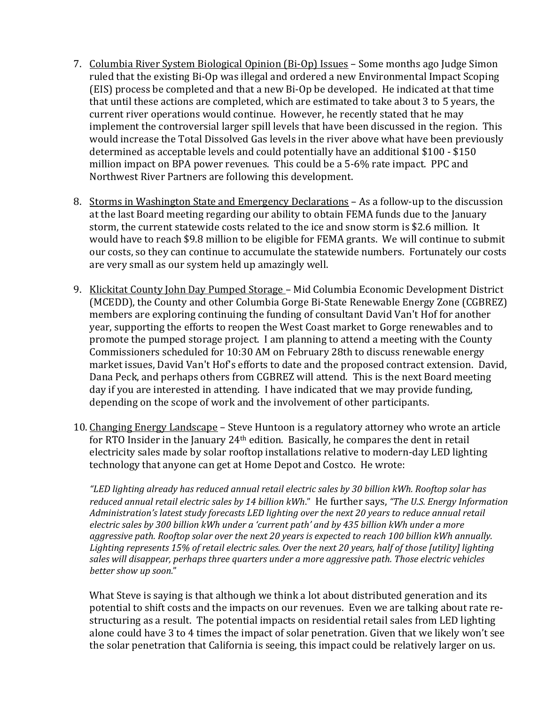- 7. Columbia River System Biological Opinion (Bi-Op) Issues Some months ago Judge Simon ruled that the existing Bi-Op was illegal and ordered a new Environmental Impact Scoping (EIS) process be completed and that a new Bi-Op be developed. He indicated at that time that until these actions are completed, which are estimated to take about 3 to 5 years, the current river operations would continue. However, he recently stated that he may implement the controversial larger spill levels that have been discussed in the region. This would increase the Total Dissolved Gas levels in the river above what have been previously determined as acceptable levels and could potentially have an additional \$100 - \$150 million impact on BPA power revenues. This could be a 5-6% rate impact. PPC and Northwest River Partners are following this development.
- 8. Storms in Washington State and Emergency Declarations As a follow-up to the discussion at the last Board meeting regarding our ability to obtain FEMA funds due to the January storm, the current statewide costs related to the ice and snow storm is \$2.6 million. It would have to reach \$9.8 million to be eligible for FEMA grants. We will continue to submit our costs, so they can continue to accumulate the statewide numbers. Fortunately our costs are very small as our system held up amazingly well.
- 9. Klickitat County John Day Pumped Storage Mid Columbia Economic Development District (MCEDD), the County and other Columbia Gorge Bi-State Renewable Energy Zone (CGBREZ) members are exploring continuing the funding of consultant David Van't Hof for another year, supporting the efforts to reopen the West Coast market to Gorge renewables and to promote the pumped storage project. I am planning to attend a meeting with the County Commissioners scheduled for 10:30 AM on February 28th to discuss renewable energy market issues, David Van't Hof's efforts to date and the proposed contract extension. David, Dana Peck, and perhaps others from CGBREZ will attend. This is the next Board meeting day if you are interested in attending. I have indicated that we may provide funding, depending on the scope of work and the involvement of other participants.
- 10. Changing Energy Landscape Steve Huntoon is a regulatory attorney who wrote an article for RTO Insider in the January 24th edition. Basically, he compares the dent in retail electricity sales made by solar rooftop installations relative to modern-day LED lighting technology that anyone can get at Home Depot and Costco. He wrote:

*"LED lighting already has reduced annual retail electric sales by 30 billion kWh. Rooftop solar has reduced annual retail electric sales by 14 billion kWh*." He further says, *"The U.S. Energy Information Administration's latest study forecasts LED lighting over the next 20 years to reduce annual retail electric sales by 300 billion kWh under a 'current path' and by 435 billion kWh under a more aggressive path. Rooftop solar over the next 20 years is expected to reach 100 billion kWh annually. Lighting represents 15% of retail electric sales. Over the next 20 years, half of those [utility] lighting sales will disappear, perhaps three quarters under a more aggressive path. Those electric vehicles better show up soon.*"

What Steve is saying is that although we think a lot about distributed generation and its potential to shift costs and the impacts on our revenues. Even we are talking about rate restructuring as a result. The potential impacts on residential retail sales from LED lighting alone could have 3 to 4 times the impact of solar penetration. Given that we likely won't see the solar penetration that California is seeing, this impact could be relatively larger on us.